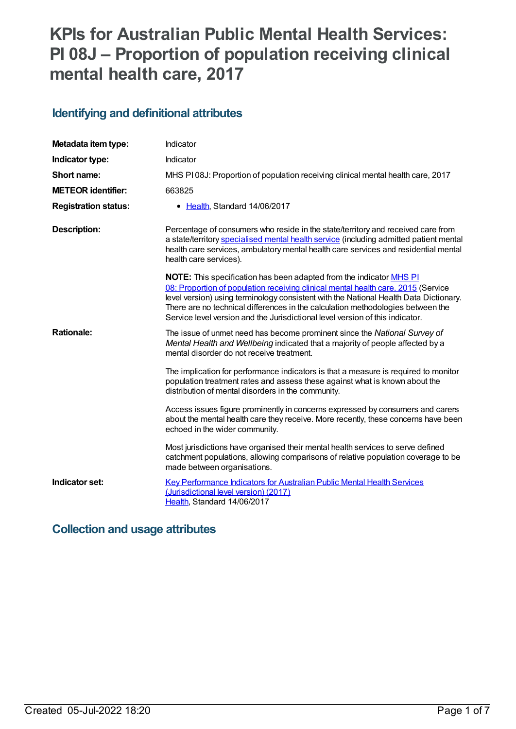# **KPIs for Australian Public Mental Health Services: PI 08J – Proportion of population receiving clinical mental health care, 2017**

## **Identifying and definitional attributes**

| Metadata item type:         | Indicator                                                                                                                                                                                                                                                                                                                                                                                                             |
|-----------------------------|-----------------------------------------------------------------------------------------------------------------------------------------------------------------------------------------------------------------------------------------------------------------------------------------------------------------------------------------------------------------------------------------------------------------------|
| Indicator type:             | Indicator                                                                                                                                                                                                                                                                                                                                                                                                             |
| Short name:                 | MHS PI08J: Proportion of population receiving clinical mental health care, 2017                                                                                                                                                                                                                                                                                                                                       |
| <b>METEOR identifier:</b>   | 663825                                                                                                                                                                                                                                                                                                                                                                                                                |
| <b>Registration status:</b> | • Health, Standard 14/06/2017                                                                                                                                                                                                                                                                                                                                                                                         |
| <b>Description:</b>         | Percentage of consumers who reside in the state/territory and received care from<br>a state/territory specialised mental health service (including admitted patient mental<br>health care services, ambulatory mental health care services and residential mental<br>health care services).                                                                                                                           |
|                             | NOTE: This specification has been adapted from the indicator MHS PI<br>08: Proportion of population receiving clinical mental health care, 2015 (Service<br>level version) using terminology consistent with the National Health Data Dictionary.<br>There are no technical differences in the calculation methodologies between the<br>Service level version and the Jurisdictional level version of this indicator. |
| <b>Rationale:</b>           | The issue of unmet need has become prominent since the National Survey of<br>Mental Health and Wellbeing indicated that a majority of people affected by a<br>mental disorder do not receive treatment.                                                                                                                                                                                                               |
|                             | The implication for performance indicators is that a measure is required to monitor<br>population treatment rates and assess these against what is known about the<br>distribution of mental disorders in the community.                                                                                                                                                                                              |
|                             | Access issues figure prominently in concerns expressed by consumers and carers<br>about the mental health care they receive. More recently, these concerns have been<br>echoed in the wider community.                                                                                                                                                                                                                |
|                             | Most jurisdictions have organised their mental health services to serve defined<br>catchment populations, allowing comparisons of relative population coverage to be<br>made between organisations.                                                                                                                                                                                                                   |
| Indicator set:              | <b>Key Performance Indicators for Australian Public Mental Health Services</b><br>(Jurisdictional level version) (2017)<br>Health, Standard 14/06/2017                                                                                                                                                                                                                                                                |

## **Collection and usage attributes**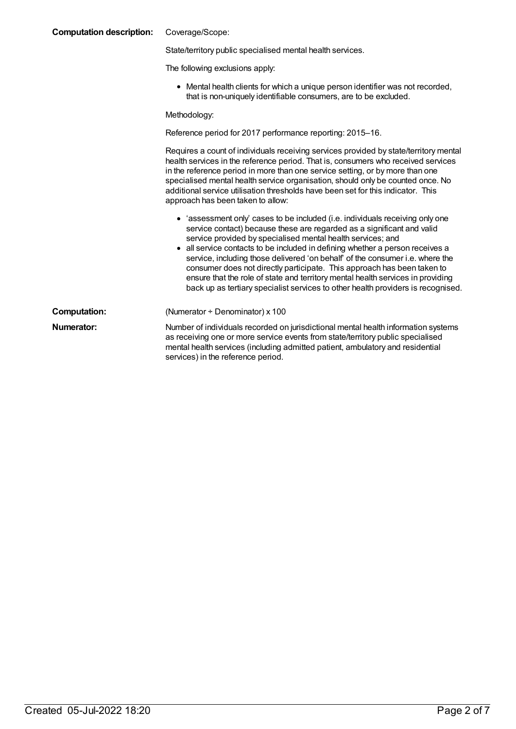| <b>Computation description:</b> | Coverage/Scope:                                                                                                                                                                                                                                                                                                                                                                                                                                                                                                                                                                                                                          |  |
|---------------------------------|------------------------------------------------------------------------------------------------------------------------------------------------------------------------------------------------------------------------------------------------------------------------------------------------------------------------------------------------------------------------------------------------------------------------------------------------------------------------------------------------------------------------------------------------------------------------------------------------------------------------------------------|--|
|                                 | State/territory public specialised mental health services.                                                                                                                                                                                                                                                                                                                                                                                                                                                                                                                                                                               |  |
|                                 | The following exclusions apply:                                                                                                                                                                                                                                                                                                                                                                                                                                                                                                                                                                                                          |  |
|                                 | • Mental health clients for which a unique person identifier was not recorded,<br>that is non-uniquely identifiable consumers, are to be excluded.                                                                                                                                                                                                                                                                                                                                                                                                                                                                                       |  |
|                                 | Methodology:                                                                                                                                                                                                                                                                                                                                                                                                                                                                                                                                                                                                                             |  |
|                                 | Reference period for 2017 performance reporting: 2015-16.                                                                                                                                                                                                                                                                                                                                                                                                                                                                                                                                                                                |  |
|                                 | Requires a count of individuals receiving services provided by state/territory mental<br>health services in the reference period. That is, consumers who received services<br>in the reference period in more than one service setting, or by more than one<br>specialised mental health service organisation, should only be counted once. No<br>additional service utilisation thresholds have been set for this indicator. This<br>approach has been taken to allow:                                                                                                                                                                  |  |
|                                 | • 'assessment only' cases to be included (i.e. individuals receiving only one<br>service contact) because these are regarded as a significant and valid<br>service provided by specialised mental health services; and<br>all service contacts to be included in defining whether a person receives a<br>service, including those delivered 'on behalf' of the consumer i.e. where the<br>consumer does not directly participate. This approach has been taken to<br>ensure that the role of state and territory mental health services in providing<br>back up as tertiary specialist services to other health providers is recognised. |  |
| <b>Computation:</b>             | (Numerator + Denominator) x 100                                                                                                                                                                                                                                                                                                                                                                                                                                                                                                                                                                                                          |  |
| Numerator:                      | Number of individuals recorded on jurisdictional mental health information systems<br>as receiving one or more service events from state/territory public specialised<br>mental health services (including admitted patient, ambulatory and residential                                                                                                                                                                                                                                                                                                                                                                                  |  |

services) in the reference period.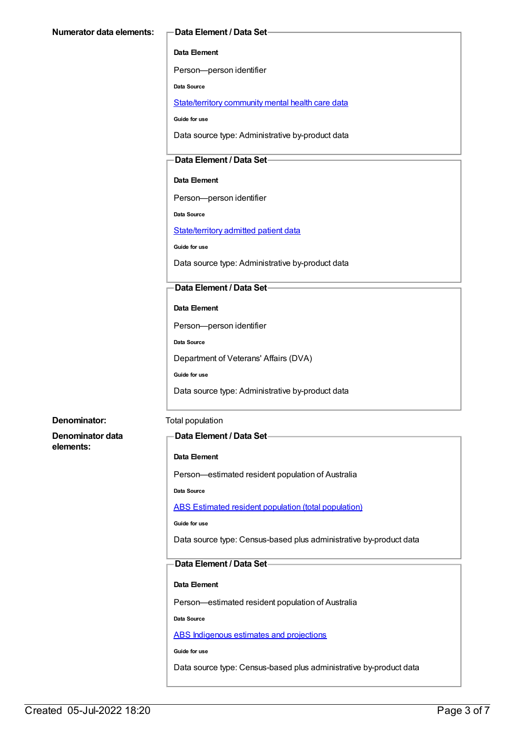#### **Data Element**

Person—person identifier

**Data Source**

[State/territory](file:///content/402135) community mental health care data

**Guide for use**

Data source type: Administrative by-product data

### **Data Element / Data Set**

**Data Element**

Person—person identifier

**Data Source**

[State/territory](file:///content/426458) admitted patient data

**Guide for use**

Data source type: Administrative by-product data

#### **Data Element / Data Set**

#### **Data Element**

Person—person identifier

**Data Source**

Department of Veterans' Affairs (DVA)

**Guide for use**

Data source type: Administrative by-product data

#### **Denominator:** Total population

**Denominator data elements:**

#### **Data Element / Data Set**

#### **Data Element**

Person—estimated resident population of Australia

**Data Source**

ABS Estimated resident population (total [population\)](file:///content/393625)

**Guide for use**

Data source type: Census-based plus administrative by-product data

#### **Data Element / Data Set**

#### **Data Element**

Person—estimated resident population of Australia

**Data Source**

ABS [Indigenous](file:///content/585472) estimates and projections

**Guide for use**

Data source type: Census-based plus administrative by-product data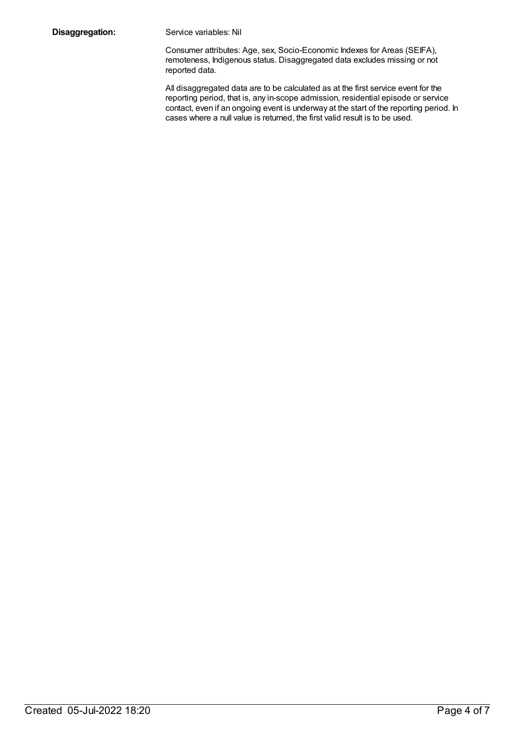**Disaggregation:** Service variables: Nil

Consumer attributes: Age, sex, Socio-Economic Indexes for Areas (SEIFA), remoteness, Indigenous status. Disaggregated data excludes missing or not reported data.

All disaggregated data are to be calculated as at the first service event for the reporting period, that is, any in-scope admission, residential episode or service contact, even if an ongoing event is underway at the start of the reporting period. In cases where a null value is returned, the first valid result is to be used.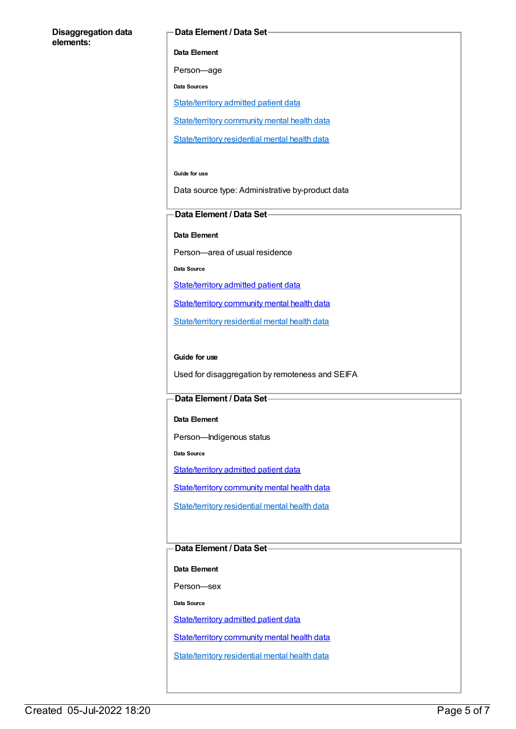#### **Disaggregation data elements:**

#### **Data Element / Data Set**

**Data Element**

Person—age

**Data Sources**

[State/territory](file:///content/426458) admitted patient data

[State/territory](file:///content/402135) community mental health data

[State/territory](file:///content/630460) residential mental health data

#### **Guide for use**

Data source type: Administrative by-product data

#### **Data Element / Data Set**

**Data Element**

Person—area of usual residence

**Data Source**

[State/territory](file:///content/426458) admitted patient data

[State/territory](file:///content/402135) community mental health data

[State/territory](file:///content/630460) residential mental health data

#### **Guide for use**

Used for disaggregation by remoteness and SEIFA

#### **Data Element / Data Set**

**Data Element**

Person—Indigenous status

**Data Source**

[State/territory](file:///content/426458) admitted patient data

[State/territory](file:///content/402135) community mental health data

[State/territory](file:///content/630460) residential mental health data

### **Data Element / Data Set**

**Data Element**

Person—sex

**Data Source**

[State/territory](file:///content/426458) admitted patient data

[State/territory](file:///content/402135) community mental health data

[State/territory](file:///content/630460) residential mental health data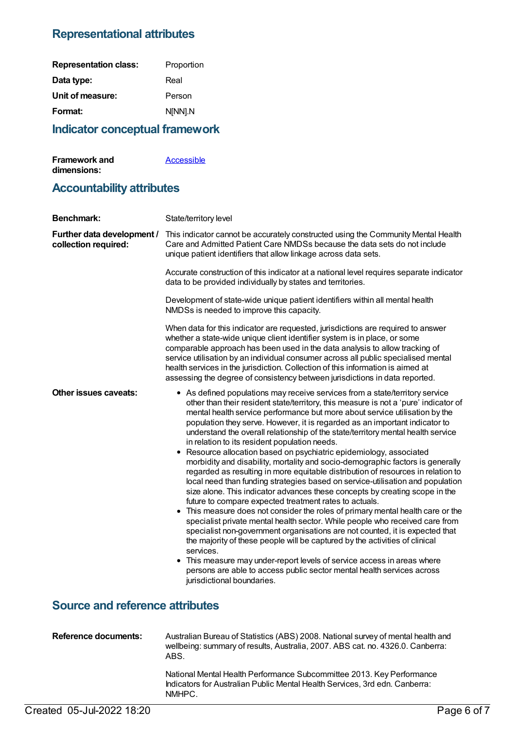## **Representational attributes**

| <b>Representation class:</b> | Proportion |
|------------------------------|------------|
| Data type:                   | Real       |
| Unit of measure:             | Person     |
| Format:                      | N[NN].N    |
|                              |            |

## **Indicator conceptual framework**

| <b>Framework and</b> | Accessible |
|----------------------|------------|
| dimensions:          |            |

## **Accountability attributes**

| <b>Benchmark:</b>                                  | State/territory level                                                                                                                                                                                                                                                                                                                                                                                                                                                                                                                                                                                                                                                                                                                                                                                                                                                                                                                                                                                                                                                                                                                                                                                                                                                                                                                                                                                                                                                             |
|----------------------------------------------------|-----------------------------------------------------------------------------------------------------------------------------------------------------------------------------------------------------------------------------------------------------------------------------------------------------------------------------------------------------------------------------------------------------------------------------------------------------------------------------------------------------------------------------------------------------------------------------------------------------------------------------------------------------------------------------------------------------------------------------------------------------------------------------------------------------------------------------------------------------------------------------------------------------------------------------------------------------------------------------------------------------------------------------------------------------------------------------------------------------------------------------------------------------------------------------------------------------------------------------------------------------------------------------------------------------------------------------------------------------------------------------------------------------------------------------------------------------------------------------------|
| Further data development /<br>collection required: | This indicator cannot be accurately constructed using the Community Mental Health<br>Care and Admitted Patient Care NMDSs because the data sets do not include<br>unique patient identifiers that allow linkage across data sets.                                                                                                                                                                                                                                                                                                                                                                                                                                                                                                                                                                                                                                                                                                                                                                                                                                                                                                                                                                                                                                                                                                                                                                                                                                                 |
|                                                    | Accurate construction of this indicator at a national level requires separate indicator<br>data to be provided individually by states and territories.                                                                                                                                                                                                                                                                                                                                                                                                                                                                                                                                                                                                                                                                                                                                                                                                                                                                                                                                                                                                                                                                                                                                                                                                                                                                                                                            |
|                                                    | Development of state-wide unique patient identifiers within all mental health<br>NMDSs is needed to improve this capacity.                                                                                                                                                                                                                                                                                                                                                                                                                                                                                                                                                                                                                                                                                                                                                                                                                                                                                                                                                                                                                                                                                                                                                                                                                                                                                                                                                        |
|                                                    | When data for this indicator are requested, jurisdictions are required to answer<br>whether a state-wide unique client identifier system is in place, or some<br>comparable approach has been used in the data analysis to allow tracking of<br>service utilisation by an individual consumer across all public specialised mental<br>health services in the jurisdiction. Collection of this information is aimed at<br>assessing the degree of consistency between jurisdictions in data reported.                                                                                                                                                                                                                                                                                                                                                                                                                                                                                                                                                                                                                                                                                                                                                                                                                                                                                                                                                                              |
| <b>Other issues caveats:</b>                       | • As defined populations may receive services from a state/territory service<br>other than their resident state/territory, this measure is not a 'pure' indicator of<br>mental health service performance but more about service utilisation by the<br>population they serve. However, it is regarded as an important indicator to<br>understand the overall relationship of the state/territory mental health service<br>in relation to its resident population needs.<br>• Resource allocation based on psychiatric epidemiology, associated<br>morbidity and disability, mortality and socio-demographic factors is generally<br>regarded as resulting in more equitable distribution of resources in relation to<br>local need than funding strategies based on service-utilisation and population<br>size alone. This indicator advances these concepts by creating scope in the<br>future to compare expected treatment rates to actuals.<br>• This measure does not consider the roles of primary mental health care or the<br>specialist private mental health sector. While people who received care from<br>specialist non-government organisations are not counted, it is expected that<br>the majority of these people will be captured by the activities of clinical<br>services.<br>• This measure may under-report levels of service access in areas where<br>persons are able to access public sector mental health services across<br>jurisdictional boundaries. |
| <b>Source and reference attributes</b>             |                                                                                                                                                                                                                                                                                                                                                                                                                                                                                                                                                                                                                                                                                                                                                                                                                                                                                                                                                                                                                                                                                                                                                                                                                                                                                                                                                                                                                                                                                   |
| <b>Reference documents:</b>                        | Australian Bureau of Statistics (ABS) 2008. National survey of mental health and<br>wellbeing: summary of results, Australia, 2007. ABS cat. no. 4326.0. Canberra:<br>ABS.                                                                                                                                                                                                                                                                                                                                                                                                                                                                                                                                                                                                                                                                                                                                                                                                                                                                                                                                                                                                                                                                                                                                                                                                                                                                                                        |
|                                                    | National Mental Health Performance Subcommittee 2013. Key Performance                                                                                                                                                                                                                                                                                                                                                                                                                                                                                                                                                                                                                                                                                                                                                                                                                                                                                                                                                                                                                                                                                                                                                                                                                                                                                                                                                                                                             |

Indicators for Australian Public Mental Health Services, 3rd edn. Canberra:

NMHPC.